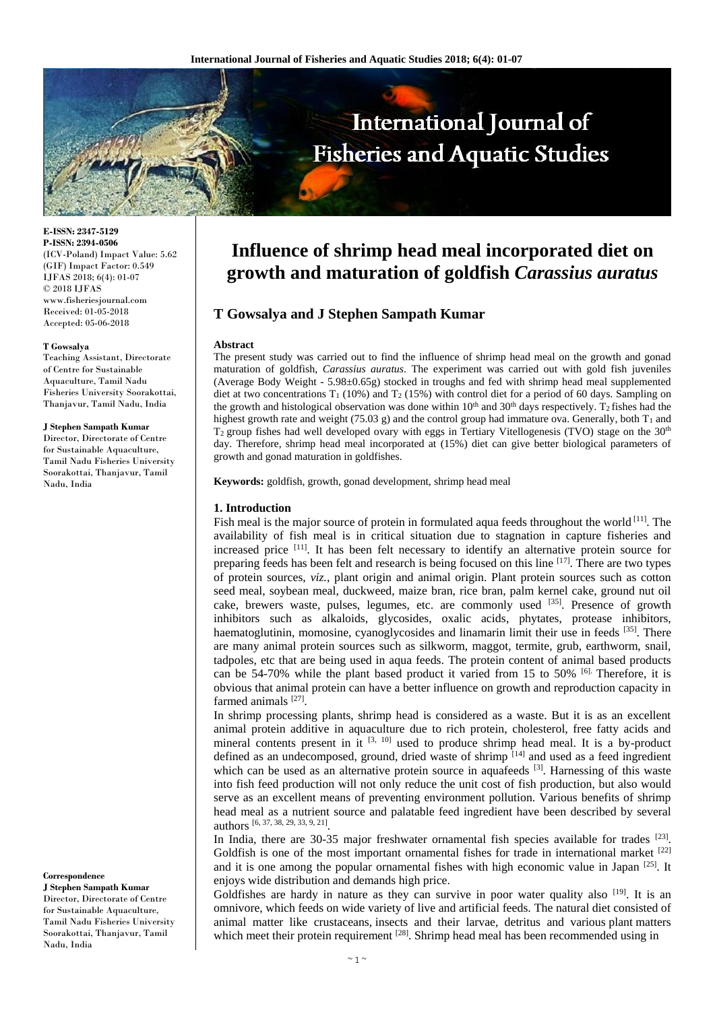

**E-ISSN: 2347-5129 P-ISSN: 2394-0506** (ICV-Poland) Impact Value: 5.62 (GIF) Impact Factor: 0.549 IJFAS 2018; 6(4): 01-07 © 2018 IJFAS www.fisheriesjournal.com Received: 01-05-2018 Accepted: 05-06-2018

#### **T Gowsalya**

Teaching Assistant, Directorate of Centre for Sustainable Aquaculture, Tamil Nadu Fisheries University Soorakottai, Thanjavur, Tamil Nadu, India

#### **J Stephen Sampath Kumar**

Director, Directorate of Centre for Sustainable Aquaculture, Tamil Nadu Fisheries University Soorakottai, Thanjavur, Tamil Nadu, India

#### **Correspondence**

**J Stephen Sampath Kumar** Director, Directorate of Centre for Sustainable Aquaculture, Tamil Nadu Fisheries University Soorakottai, Thanjavur, Tamil Nadu, India

# **Influence of shrimp head meal incorporated diet on growth and maturation of goldfish** *Carassius auratus*

# **T Gowsalya and J Stephen Sampath Kumar**

### **Abstract**

The present study was carried out to find the influence of shrimp head meal on the growth and gonad maturation of goldfish, *Carassius auratus*. The experiment was carried out with gold fish juveniles (Average Body Weight - 5.98±0.65g) stocked in troughs and fed with shrimp head meal supplemented diet at two concentrations  $T_1$  (10%) and  $T_2$  (15%) with control diet for a period of 60 days. Sampling on the growth and histological observation was done within  $10<sup>th</sup>$  and  $30<sup>th</sup>$  days respectively. T<sub>2</sub> fishes had the highest growth rate and weight (75.03 g) and the control group had immature ova. Generally, both  $T_1$  and  $T_2$  group fishes had well developed ovary with eggs in Tertiary Vitellogenesis (TVO) stage on the  $30<sup>th</sup>$ day. Therefore, shrimp head meal incorporated at (15%) diet can give better biological parameters of growth and gonad maturation in goldfishes.

**Keywords:** goldfish, growth, gonad development, shrimp head meal

#### **1. Introduction**

Fish meal is the major source of protein in formulated aqua feeds throughout the world [11]. The availability of fish meal is in critical situation due to stagnation in capture fisheries and increased price <sup>[11]</sup>. It has been felt necessary to identify an alternative protein source for preparing feeds has been felt and research is being focused on this line  $[17]$ . There are two types of protein sources, *viz.*, plant origin and animal origin. Plant protein sources such as cotton seed meal, soybean meal, duckweed, maize bran, rice bran, palm kernel cake, ground nut oil cake, brewers waste, pulses, legumes, etc. are commonly used [35]. Presence of growth inhibitors such as alkaloids, glycosides, oxalic acids, phytates, protease inhibitors, haematoglutinin, momosine, cyanoglycosides and linamarin limit their use in feeds [35]. There are many animal protein sources such as silkworm, maggot, termite, grub, earthworm, snail, tadpoles, etc that are being used in aqua feeds. The protein content of animal based products can be 54-70% while the plant based product it varied from 15 to 50% [6]. Therefore, it is obvious that animal protein can have a better influence on growth and reproduction capacity in farmed animals<sup>[27]</sup>.

In shrimp processing plants, shrimp head is considered as a waste. But it is as an excellent animal protein additive in aquaculture due to rich protein, cholesterol, free fatty acids and mineral contents present in it  $[3, 10]$  used to produce shrimp head meal. It is a by-product defined as an undecomposed, ground, dried waste of shrimp  $[14]$  and used as a feed ingredient which can be used as an alternative protein source in aquafeeds  $[3]$ . Harnessing of this waste into fish feed production will not only reduce the unit cost of fish production, but also would serve as an excellent means of preventing environment pollution. Various benefits of shrimp head meal as a nutrient source and palatable feed ingredient have been described by several authors [6, 37, 38, 29, 33, 9, 21] .

In India, there are 30-35 major freshwater ornamental fish species available for trades  $[23]$ . Goldfish is one of the most important ornamental fishes for trade in international market  $^{[22]}$ and it is one among the popular ornamental fishes with high economic value in Japan  $^{[25]}$ . It enjoys wide distribution and demands high price.

Goldfishes are hardy in nature as they can survive in poor water quality also  $[19]$ . It is an omnivore, which feeds on wide variety of live and artificial feeds. The natural diet consisted of animal matter like crustaceans, insects and their larvae, detritus and various plant matters which meet their protein requirement [28]. Shrimp head meal has been recommended using in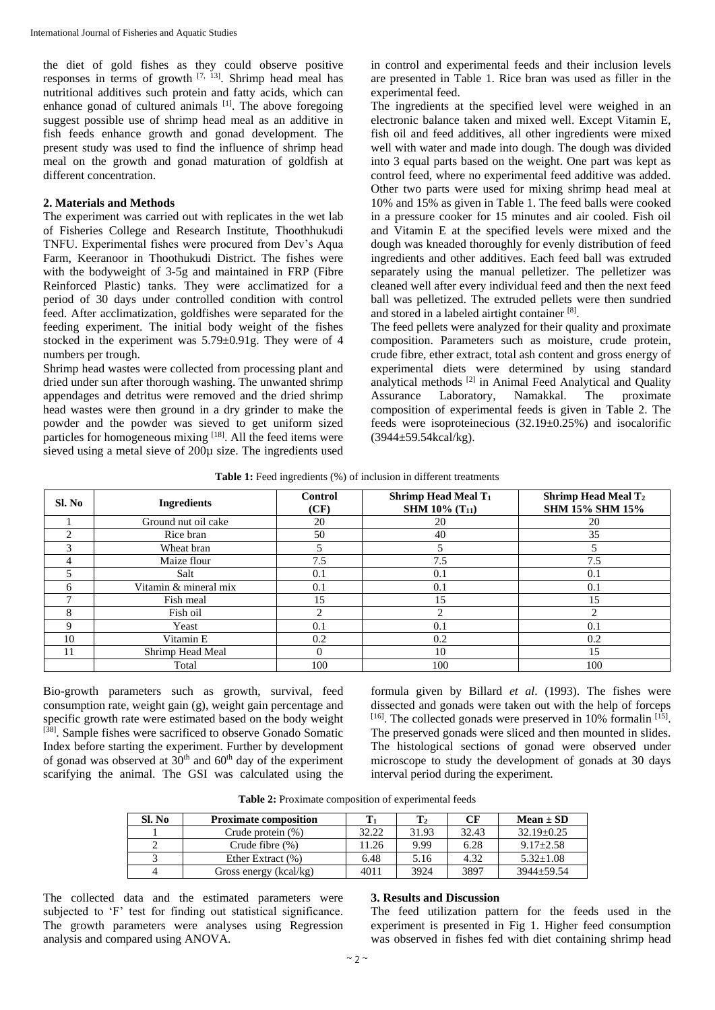the diet of gold fishes as they could observe positive responses in terms of growth  $[7, 13]$ . Shrimp head meal has nutritional additives such protein and fatty acids, which can enhance gonad of cultured animals [1]. The above foregoing suggest possible use of shrimp head meal as an additive in fish feeds enhance growth and gonad development. The present study was used to find the influence of shrimp head meal on the growth and gonad maturation of goldfish at different concentration.

#### **2. Materials and Methods**

The experiment was carried out with replicates in the wet lab of Fisheries College and Research Institute, Thoothhukudi TNFU. Experimental fishes were procured from Dev's Aqua Farm, Keeranoor in Thoothukudi District. The fishes were with the bodyweight of 3-5g and maintained in FRP (Fibre Reinforced Plastic) tanks. They were acclimatized for a period of 30 days under controlled condition with control feed. After acclimatization, goldfishes were separated for the feeding experiment. The initial body weight of the fishes stocked in the experiment was 5.79±0.91g. They were of 4 numbers per trough.

Shrimp head wastes were collected from processing plant and dried under sun after thorough washing. The unwanted shrimp appendages and detritus were removed and the dried shrimp head wastes were then ground in a dry grinder to make the powder and the powder was sieved to get uniform sized particles for homogeneous mixing [18]. All the feed items were sieved using a metal sieve of 200µ size. The ingredients used

in control and experimental feeds and their inclusion levels are presented in Table 1. Rice bran was used as filler in the experimental feed.

The ingredients at the specified level were weighed in an electronic balance taken and mixed well. Except Vitamin E, fish oil and feed additives, all other ingredients were mixed well with water and made into dough. The dough was divided into 3 equal parts based on the weight. One part was kept as control feed, where no experimental feed additive was added. Other two parts were used for mixing shrimp head meal at 10% and 15% as given in Table 1. The feed balls were cooked in a pressure cooker for 15 minutes and air cooled. Fish oil and Vitamin E at the specified levels were mixed and the dough was kneaded thoroughly for evenly distribution of feed ingredients and other additives. Each feed ball was extruded separately using the manual pelletizer. The pelletizer was cleaned well after every individual feed and then the next feed ball was pelletized. The extruded pellets were then sundried and stored in a labeled airtight container [8].

The feed pellets were analyzed for their quality and proximate composition. Parameters such as moisture, crude protein, crude fibre, ether extract, total ash content and gross energy of experimental diets were determined by using standard analytical methods [2] in Animal Feed Analytical and Quality Assurance Laboratory, Namakkal. The proximate composition of experimental feeds is given in Table 2. The feeds were isoproteinecious (32.19±0.25%) and isocalorific  $(3944 \pm 59.54 \text{kcal/kg})$ .

| <b>Table 1:</b> Feed ingredients (%) of inclusion in different treatments |  |  |
|---------------------------------------------------------------------------|--|--|
|---------------------------------------------------------------------------|--|--|

| Sl. No | <b>Ingredients</b>    | <b>Control</b><br>(CF) | <b>Shrimp Head Meal T1</b><br><b>SHM 10% (T11)</b> | <b>Shrimp Head Meal T<sub>2</sub></b><br><b>SHM 15% SHM 15%</b> |
|--------|-----------------------|------------------------|----------------------------------------------------|-----------------------------------------------------------------|
|        | Ground nut oil cake   | 20                     | 20                                                 | 20                                                              |
| ∍      | Rice bran             | 50                     | 40                                                 | 35                                                              |
| 3      | Wheat bran            |                        |                                                    |                                                                 |
| 4      | Maize flour           | 7.5                    | 7.5                                                | 7.5                                                             |
| 5      | Salt                  | 0.1                    | 0.1                                                | 0.1                                                             |
| 6      | Vitamin & mineral mix | 0.1                    | 0.1                                                | 0.1                                                             |
|        | Fish meal             | 15                     | 15                                                 | 15                                                              |
| 8      | Fish oil              |                        |                                                    |                                                                 |
| Q      | Yeast                 | 0.1                    | 0.1                                                | 0.1                                                             |
| 10     | Vitamin E             | 0.2                    | 0.2                                                | 0.2                                                             |
| 11     | Shrimp Head Meal      | $\Omega$               | 10                                                 | 15                                                              |
|        | Total                 | 100                    | 100                                                | 100                                                             |

Bio-growth parameters such as growth, survival, feed consumption rate, weight gain (g), weight gain percentage and specific growth rate were estimated based on the body weight [38]. Sample fishes were sacrificed to observe Gonado Somatic Index before starting the experiment. Further by development of gonad was observed at  $30<sup>th</sup>$  and  $60<sup>th</sup>$  day of the experiment scarifying the animal. The GSI was calculated using the formula given by Billard *et al*. (1993). The fishes were dissected and gonads were taken out with the help of forceps  $[16]$ . The collected gonads were preserved in 10% formalin  $[15]$ . The preserved gonads were sliced and then mounted in slides. The histological sections of gonad were observed under microscope to study the development of gonads at 30 days interval period during the experiment.

| Sl. No | <b>Proximate composition</b> |       |       | CF    | $Mean \pm SD$   |
|--------|------------------------------|-------|-------|-------|-----------------|
|        | Crude protein $(\%)$         | 32.22 | 31.93 | 32.43 | $32.19 + 0.25$  |
|        | Crude fibre $(\%)$           | 11.26 | 9.99  | 6.28  | $9.17 \pm 2.58$ |
|        | Ether Extract (%)            | 6.48  | 5.16  | 4.32  | $5.32 \pm 1.08$ |
|        | Gross energy (kcal/kg)       | 4011  | 3924  | 3897  | $3944 + 59.54$  |

**Table 2:** Proximate composition of experimental feeds

The collected data and the estimated parameters were subjected to 'F' test for finding out statistical significance. The growth parameters were analyses using Regression analysis and compared using ANOVA.

#### **3. Results and Discussion**

The feed utilization pattern for the feeds used in the experiment is presented in Fig 1. Higher feed consumption was observed in fishes fed with diet containing shrimp head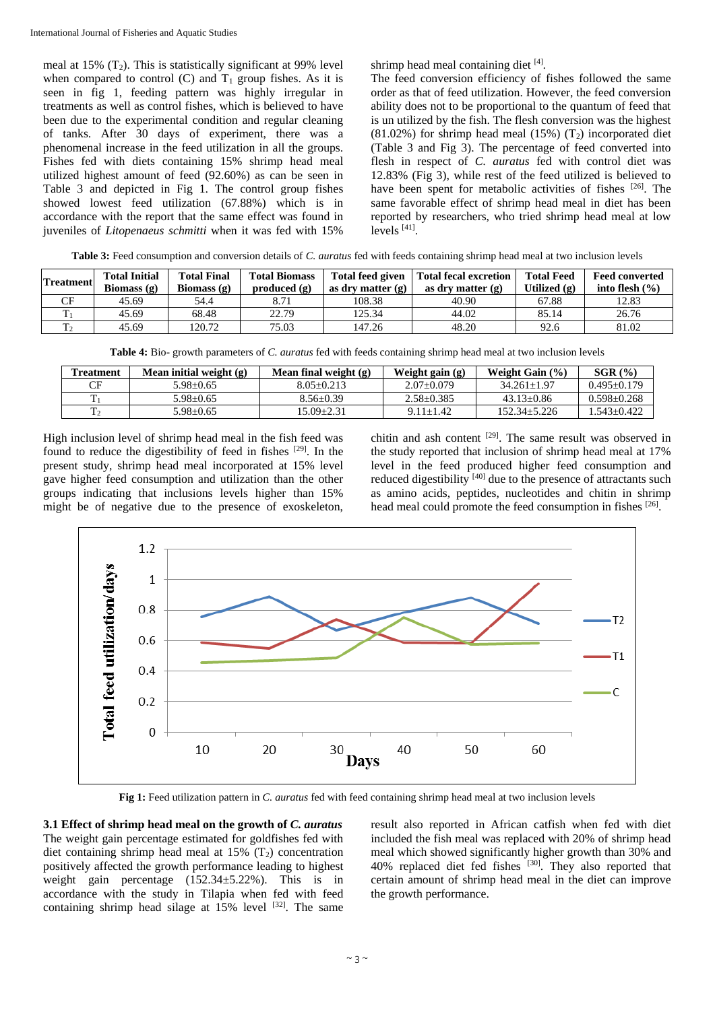meal at 15%  $(T_2)$ . This is statistically significant at 99% level when compared to control  $(C)$  and  $T_1$  group fishes. As it is seen in fig 1, feeding pattern was highly irregular in treatments as well as control fishes, which is believed to have been due to the experimental condition and regular cleaning of tanks. After 30 days of experiment, there was a phenomenal increase in the feed utilization in all the groups. Fishes fed with diets containing 15% shrimp head meal utilized highest amount of feed (92.60%) as can be seen in Table 3 and depicted in Fig 1. The control group fishes showed lowest feed utilization (67.88%) which is in accordance with the report that the same effect was found in juveniles of *Litopenaeus schmitti* when it was fed with 15%

shrimp head meal containing diet [4].

The feed conversion efficiency of fishes followed the same order as that of feed utilization. However, the feed conversion ability does not to be proportional to the quantum of feed that is un utilized by the fish. The flesh conversion was the highest  $(81.02\%)$  for shrimp head meal  $(15\%)$   $(T_2)$  incorporated diet (Table 3 and Fig 3). The percentage of feed converted into flesh in respect of *C. auratus* fed with control diet was 12.83% (Fig 3), while rest of the feed utilized is believed to have been spent for metabolic activities of fishes [26]. The same favorable effect of shrimp head meal in diet has been reported by researchers, who tried shrimp head meal at low levels<sup>[41]</sup>.

**Table 3:** Feed consumption and conversion details of *C. auratus* fed with feeds containing shrimp head meal at two inclusion levels

| <b>Treatment</b> | <b>Total Initial</b><br>Biomass $(g)$ | <b>Total Final</b><br>Biomass $(g)$ | <b>Total Biomass</b><br>produced $(g)$ | <b>Total feed given</b><br>as dry matter $(g)$ | <b>Total fecal excretion</b><br>as dry matter $(g)$ | <b>Total Feed</b><br>Utilized (g) | <b>Feed converted</b><br>into flesh $(\% )$ |
|------------------|---------------------------------------|-------------------------------------|----------------------------------------|------------------------------------------------|-----------------------------------------------------|-----------------------------------|---------------------------------------------|
| CF               | 45.69                                 | 54.4                                | 8.71                                   | 108.38                                         | 40.90                                               | 67.88                             | 12.83                                       |
|                  | 45.69                                 | 68.48                               | 22.79                                  | 125.34                                         | 44.02                                               | 85.14                             | 26.76                                       |
| T <sub>2</sub>   | 45.69                                 | 120.72                              | 75.03                                  | 147.26                                         | 48.20                                               | 92.6                              | 81.02                                       |

**Table 4:** Bio- growth parameters of *C. auratus* fed with feeds containing shrimp head meal at two inclusion levels

| <b>Treatment</b> | Mean initial weight $(g)$ | Mean final weight (g) | Weight gain (g) | Weight Gain $(\% )$ | $SGR$ $(\%)$    |
|------------------|---------------------------|-----------------------|-----------------|---------------------|-----------------|
| CF               | $5.98 + 0.65$             | $8.05 + 0.213$        | $2.07+0.079$    | $34.261 + 1.97$     | $0.495 + 0.179$ |
|                  | $5.98 + 0.65$             | $8.56 + 0.39$         | $2.58 + 0.385$  | $43.13 + 0.86$      | $0.598 + 0.268$ |
|                  | $5.98 + 0.65$             | $15.09 + 2.31$        | $9.11 + 1.42$   | $152.34 + 5.226$    | 1.543+0.422     |

High inclusion level of shrimp head meal in the fish feed was found to reduce the digestibility of feed in fishes [29]. In the present study, shrimp head meal incorporated at 15% level gave higher feed consumption and utilization than the other groups indicating that inclusions levels higher than 15% might be of negative due to the presence of exoskeleton,

chitin and ash content  $[29]$ . The same result was observed in the study reported that inclusion of shrimp head meal at 17% level in the feed produced higher feed consumption and reduced digestibility [40] due to the presence of attractants such as amino acids, peptides, nucleotides and chitin in shrimp head meal could promote the feed consumption in fishes [26].



**Fig 1:** Feed utilization pattern in *C. auratus* fed with feed containing shrimp head meal at two inclusion levels

**3.1 Effect of shrimp head meal on the growth of** *C. auratus* The weight gain percentage estimated for goldfishes fed with diet containing shrimp head meal at  $15\%$  (T<sub>2</sub>) concentration positively affected the growth performance leading to highest weight gain percentage (152.34±5.22%). This is in accordance with the study in Tilapia when fed with feed containing shrimp head silage at  $15\%$  level  $[32]$ . The same

result also reported in African catfish when fed with diet included the fish meal was replaced with 20% of shrimp head meal which showed significantly higher growth than 30% and 40% replaced diet fed fishes [30]. They also reported that certain amount of shrimp head meal in the diet can improve the growth performance.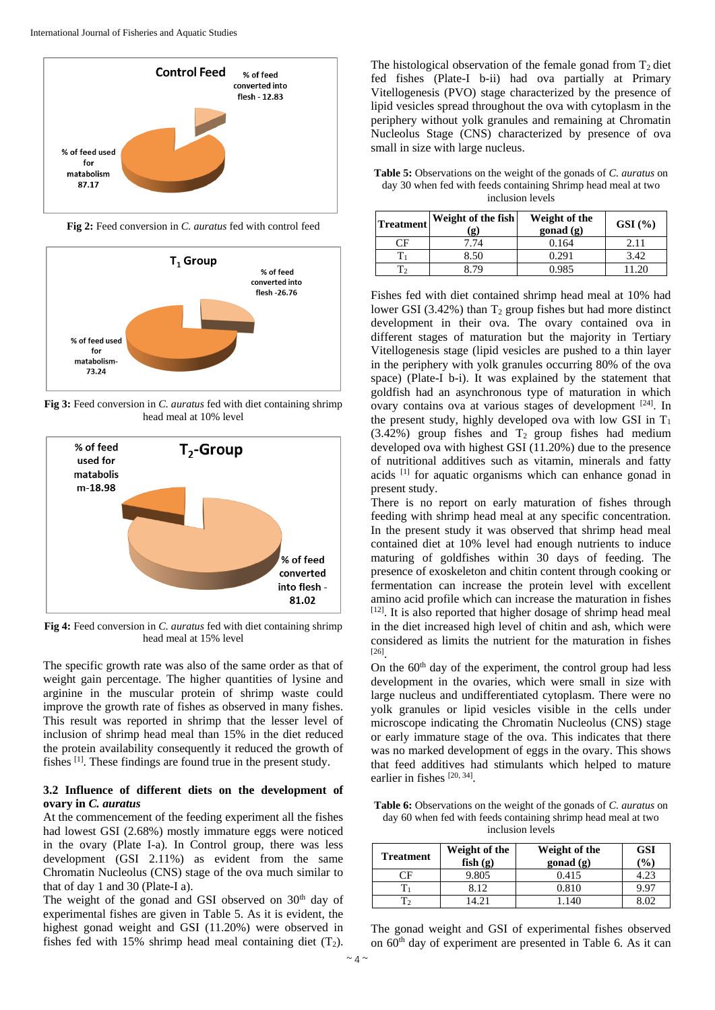

**Fig 2:** Feed conversion in *C. auratus* fed with control feed



**Fig 3:** Feed conversion in *C. auratus* fed with diet containing shrimp head meal at 10% level



**Fig 4:** Feed conversion in *C. auratus* fed with diet containing shrimp head meal at 15% level

The specific growth rate was also of the same order as that of weight gain percentage. The higher quantities of lysine and arginine in the muscular protein of shrimp waste could improve the growth rate of fishes as observed in many fishes. This result was reported in shrimp that the lesser level of inclusion of shrimp head meal than 15% in the diet reduced the protein availability consequently it reduced the growth of fishes [1]. These findings are found true in the present study.

#### **3.2 Influence of different diets on the development of ovary in** *C. auratus*

At the commencement of the feeding experiment all the fishes had lowest GSI (2.68%) mostly immature eggs were noticed in the ovary (Plate I-a). In Control group, there was less development (GSI 2.11%) as evident from the same Chromatin Nucleolus (CNS) stage of the ova much similar to that of day 1 and 30 (Plate-I a).

The weight of the gonad and GSI observed on 30<sup>th</sup> day of experimental fishes are given in Table 5. As it is evident, the highest gonad weight and GSI (11.20%) were observed in fishes fed with 15% shrimp head meal containing diet  $(T_2)$ .

The histological observation of the female gonad from  $T_2$  diet fed fishes (Plate-I b-ii) had ova partially at Primary Vitellogenesis (PVO) stage characterized by the presence of lipid vesicles spread throughout the ova with cytoplasm in the periphery without yolk granules and remaining at Chromatin Nucleolus Stage (CNS) characterized by presence of ova small in size with large nucleus.

**Table 5:** Observations on the weight of the gonads of *C. auratus* on day 30 when fed with feeds containing Shrimp head meal at two inclusion levels

| <b>Treatment</b> | Weight of the fish<br>$\mathbf{g}$ | Weight of the<br>gonad (g) | $GSI$ (%) |
|------------------|------------------------------------|----------------------------|-----------|
|                  |                                    | 0.164                      | 2.11      |
|                  | 8.50                               | 0.291                      | 3.42      |
|                  | : 79                               | 0.985                      | 11.20     |

Fishes fed with diet contained shrimp head meal at 10% had lower GSI (3.42%) than  $T_2$  group fishes but had more distinct development in their ova. The ovary contained ova in different stages of maturation but the majority in Tertiary Vitellogenesis stage (lipid vesicles are pushed to a thin layer in the periphery with yolk granules occurring 80% of the ova space) (Plate-I b-i). It was explained by the statement that goldfish had an asynchronous type of maturation in which ovary contains ova at various stages of development [24]. In the present study, highly developed ova with low GSI in  $T_1$  $(3.42\%)$  group fishes and  $T_2$  group fishes had medium developed ova with highest GSI (11.20%) due to the presence of nutritional additives such as vitamin, minerals and fatty acids [1] for aquatic organisms which can enhance gonad in present study.

There is no report on early maturation of fishes through feeding with shrimp head meal at any specific concentration. In the present study it was observed that shrimp head meal contained diet at 10% level had enough nutrients to induce maturing of goldfishes within 30 days of feeding. The presence of exoskeleton and chitin content through cooking or fermentation can increase the protein level with excellent amino acid profile which can increase the maturation in fishes  $[12]$ . It is also reported that higher dosage of shrimp head meal in the diet increased high level of chitin and ash, which were considered as limits the nutrient for the maturation in fishes [26] .

On the  $60<sup>th</sup>$  day of the experiment, the control group had less development in the ovaries, which were small in size with large nucleus and undifferentiated cytoplasm. There were no yolk granules or lipid vesicles visible in the cells under microscope indicating the Chromatin Nucleolus (CNS) stage or early immature stage of the ova. This indicates that there was no marked development of eggs in the ovary. This shows that feed additives had stimulants which helped to mature earlier in fishes [20, 34].

**Table 6:** Observations on the weight of the gonads of *C. auratus* on day 60 when fed with feeds containing shrimp head meal at two inclusion levels

| <b>Treatment</b> | Weight of the<br>fish(g) | Weight of the<br>$\mathbf{gonad}\left(\mathbf{g}\right)$ | <b>GSI</b><br>(%) |
|------------------|--------------------------|----------------------------------------------------------|-------------------|
|                  | 9.805                    | 0.415                                                    |                   |
|                  | 8.12                     | 0.810                                                    | 997               |
|                  | 4 2 1                    |                                                          |                   |

The gonad weight and GSI of experimental fishes observed on 60th day of experiment are presented in Table 6. As it can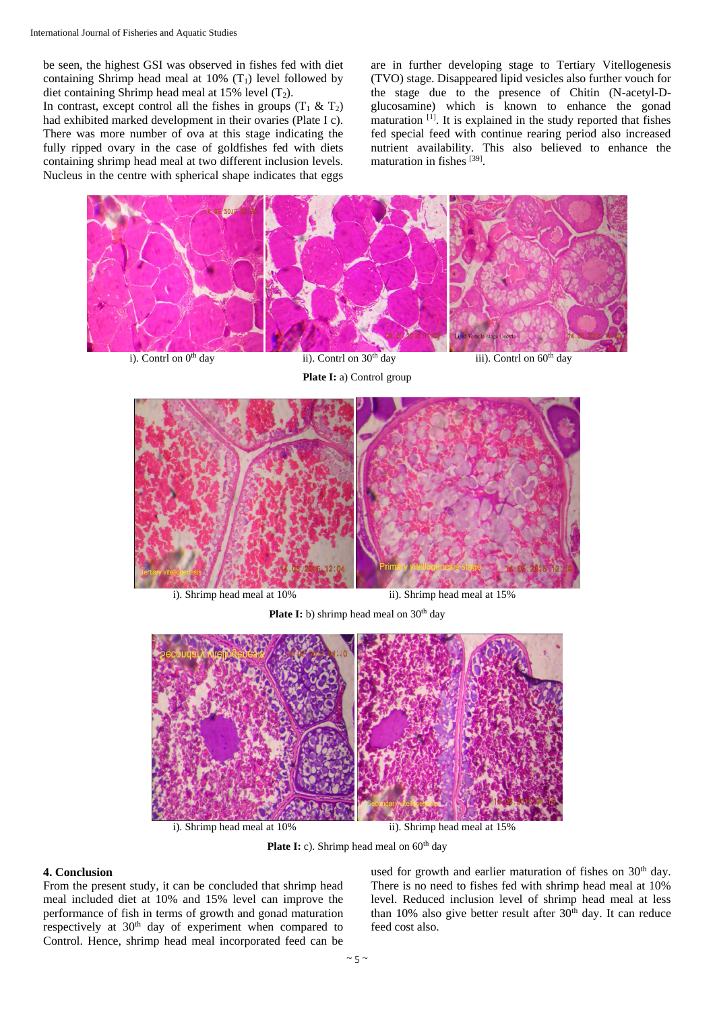be seen, the highest GSI was observed in fishes fed with diet containing Shrimp head meal at  $10\%$  (T<sub>1</sub>) level followed by diet containing Shrimp head meal at 15% level  $(T_2)$ .

In contrast, except control all the fishes in groups  $(T_1 \& T_2)$ had exhibited marked development in their ovaries (Plate I c). There was more number of ova at this stage indicating the fully ripped ovary in the case of goldfishes fed with diets containing shrimp head meal at two different inclusion levels. Nucleus in the centre with spherical shape indicates that eggs

are in further developing stage to Tertiary Vitellogenesis (TVO) stage. Disappeared lipid vesicles also further vouch for the stage due to the presence of Chitin (N-acetyl-Dglucosamine) which is known to enhance the gonad maturation  $[1]$ . It is explained in the study reported that fishes fed special feed with continue rearing period also increased nutrient availability. This also believed to enhance the maturation in fishes [39].



**Plate I:** a) Control group







i). Shrimp head meal at 10% ii). Shrimp head meal at 15%

Plate I: c). Shrimp head meal on 60<sup>th</sup> day

## **4. Conclusion**

From the present study, it can be concluded that shrimp head meal included diet at 10% and 15% level can improve the performance of fish in terms of growth and gonad maturation respectively at 30<sup>th</sup> day of experiment when compared to Control. Hence, shrimp head meal incorporated feed can be

used for growth and earlier maturation of fishes on 30<sup>th</sup> day. There is no need to fishes fed with shrimp head meal at 10% level. Reduced inclusion level of shrimp head meal at less than 10% also give better result after  $30<sup>th</sup>$  day. It can reduce feed cost also.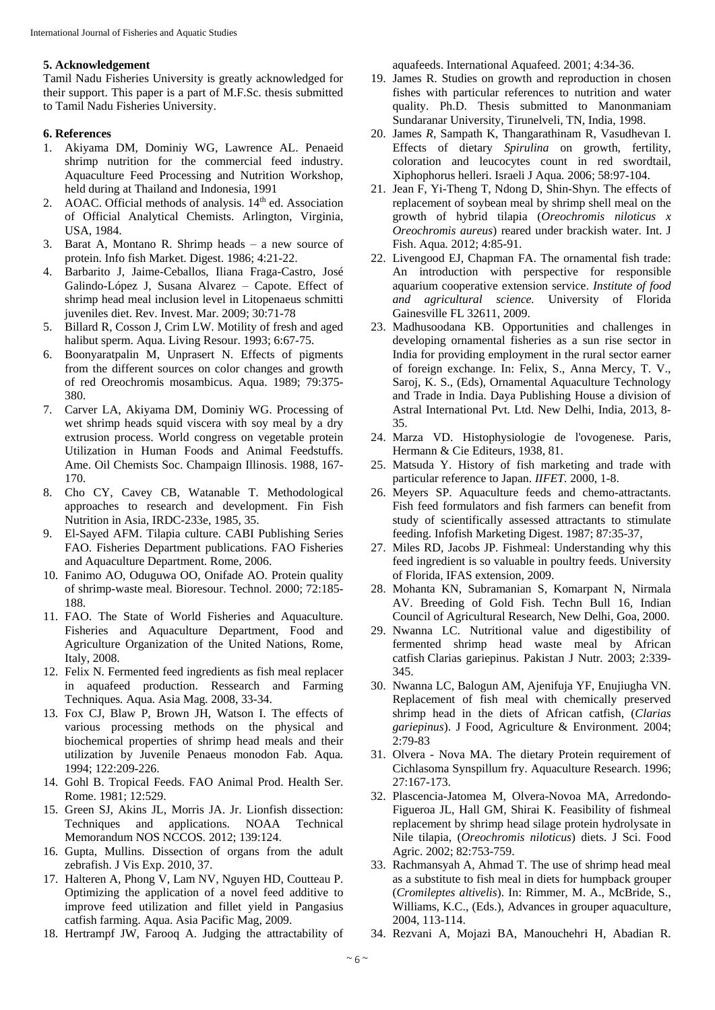### **5. Acknowledgement**

Tamil Nadu Fisheries University is greatly acknowledged for their support. This paper is a part of M.F.Sc. thesis submitted to Tamil Nadu Fisheries University.

# **6. References**

- 1. Akiyama DM, Dominiy WG, Lawrence AL. Penaeid shrimp nutrition for the commercial feed industry. Aquaculture Feed Processing and Nutrition Workshop, held during at Thailand and Indonesia, 1991
- 2. AOAC. Official methods of analysis. 14<sup>th</sup> ed. Association of Official Analytical Chemists. Arlington, Virginia, USA, 1984.
- 3. Barat A, Montano R. Shrimp heads a new source of protein. Info fish Market. Digest. 1986; 4:21-22.
- 4. Barbarito J, Jaime-Ceballos, Iliana Fraga-Castro, José Galindo-López J, Susana Alvarez – Capote. Effect of shrimp head meal inclusion level in Litopenaeus schmitti juveniles diet. Rev. Invest. Mar. 2009; 30:71-78
- 5. Billard R, Cosson J, Crim LW. Motility of fresh and aged halibut sperm. Aqua. Living Resour. 1993; 6:67-75.
- 6. Boonyaratpalin M, Unprasert N. Effects of pigments from the different sources on color changes and growth of red Oreochromis mosambicus. Aqua. 1989; 79:375- 380.
- 7. Carver LA, Akiyama DM, Dominiy WG. Processing of wet shrimp heads squid viscera with soy meal by a dry extrusion process. World congress on vegetable protein Utilization in Human Foods and Animal Feedstuffs. Ame. Oil Chemists Soc. Champaign Illinosis. 1988, 167- 170.
- 8. Cho CY, Cavey CB, Watanable T. Methodological approaches to research and development. Fin Fish Nutrition in Asia*,* IRDC-233e, 1985, 35.
- 9. El-Sayed AFM. Tilapia culture. CABI Publishing Series FAO. Fisheries Department publications. FAO Fisheries and Aquaculture Department. Rome, 2006.
- 10. Fanimo AO, Oduguwa OO, Onifade AO. Protein quality of shrimp-waste meal. Bioresour. Technol. 2000; 72:185- 188.
- 11. FAO. The State of World Fisheries and Aquaculture. Fisheries and Aquaculture Department, Food and Agriculture Organization of the United Nations, Rome, Italy, 2008.
- 12. Felix N. Fermented feed ingredients as fish meal replacer in aquafeed production. Ressearch and Farming Techniques*.* Aqua. Asia Mag*.* 2008, 33-34.
- 13. Fox CJ, Blaw P, Brown JH, Watson I. The effects of various processing methods on the physical and biochemical properties of shrimp head meals and their utilization by Juvenile Penaeus monodon Fab. Aqua*.*  1994; 122:209-226.
- 14. Gohl B. Tropical Feeds. FAO Animal Prod. Health Ser. Rome. 1981; 12:529.
- 15. Green SJ, Akins JL, Morris JA. Jr. Lionfish dissection: Techniques and applications. NOAA Technical Memorandum NOS NCCOS*.* 2012; 139:124.
- 16. Gupta, Mullins. Dissection of organs from the adult zebrafish. J Vis Exp. 2010, 37.
- 17. Halteren A, Phong V, Lam NV, Nguyen HD, Coutteau P. Optimizing the application of a novel feed additive to improve feed utilization and fillet yield in Pangasius catfish farming. Aqua. Asia Pacific Mag, 2009.
- 18. Hertrampf JW, Farooq A. Judging the attractability of

aquafeeds. International Aquafeed. 2001; 4:34-36.

- 19. James R. Studies on growth and reproduction in chosen fishes with particular references to nutrition and water quality. Ph.D. Thesis submitted to Manonmaniam Sundaranar University, Tirunelveli, TN, India, 1998.
- 20. James *R*, Sampath K, Thangarathinam R, Vasudhevan I. Effects of dietary *Spirulina* on growth, fertility, coloration and leucocytes count in red swordtail, Xiphophorus helleri. Israeli J Aqua*.* 2006; 58:97-104.
- 21. Jean F, Yi-Theng T, Ndong D, Shin-Shyn. The effects of replacement of soybean meal by shrimp shell meal on the growth of hybrid tilapia (*Oreochromis niloticus x Oreochromis aureus*) reared under brackish water. Int. J Fish. Aqua*.* 2012; 4:85-91.
- 22. Livengood EJ, Chapman FA. The ornamental fish trade: An introduction with perspective for responsible aquarium cooperative extension service. *Institute of food and agricultural science.* University of Florida Gainesville FL 32611, 2009.
- 23. Madhusoodana KB. Opportunities and challenges in developing ornamental fisheries as a sun rise sector in India for providing employment in the rural sector earner of foreign exchange. In: Felix, S., Anna Mercy, T. V., Saroj, K. S., (Eds), Ornamental Aquaculture Technology and Trade in India. Daya Publishing House a division of Astral International Pvt. Ltd. New Delhi, India, 2013, 8- 35.
- 24. Marza VD. Histophysiologie de l'ovogenese*.* Paris, Hermann & Cie Editeurs, 1938, 81.
- 25. Matsuda Y. History of fish marketing and trade with particular reference to Japan. *IIFET.* 2000, 1-8.
- 26. Meyers SP. Aquaculture feeds and chemo-attractants. Fish feed formulators and fish farmers can benefit from study of scientifically assessed attractants to stimulate feeding. Infofish Marketing Digest. 1987; 87:35-37,
- 27. Miles RD, Jacobs JP. Fishmeal: Understanding why this feed ingredient is so valuable in poultry feeds. University of Florida, IFAS extension, 2009.
- 28. Mohanta KN, Subramanian S, Komarpant N, Nirmala AV. Breeding of Gold Fish. Techn Bull 16, Indian Council of Agricultural Research, New Delhi, Goa, 2000.
- 29. Nwanna LC. Nutritional value and digestibility of fermented shrimp head waste meal by African catfish Clarias gariepinus. Pakistan J Nutr*.* 2003; 2:339- 345.
- 30. Nwanna LC, Balogun AM, Ajenifuja YF, Enujiugha VN. Replacement of fish meal with chemically preserved shrimp head in the diets of African catfish, (*Clarias gariepinus*). J Food, Agriculture & Environment*.* 2004; 2:79-83
- 31. Olvera Nova MA. The dietary Protein requirement of Cichlasoma Synspillum fry. Aquaculture Research. 1996; 27:167-173.
- 32. Plascencia-Jatomea M, Olvera-Novoa MA, Arredondo-Figueroa JL, Hall GM, Shirai K. Feasibility of fishmeal replacement by shrimp head silage protein hydrolysate in Nile tilapia, (*Oreochromis niloticus*) diets. J Sci. Food Agric. 2002; 82:753-759.
- 33. Rachmansyah A, Ahmad T. The use of shrimp head meal as a substitute to fish meal in diets for humpback grouper (*Cromileptes altivelis*). In: Rimmer, M. A., McBride, S., Williams, K.C., (Eds.), Advances in grouper aquaculture, 2004, 113-114.
- 34. Rezvani A, Mojazi BA, Manouchehri H, Abadian R.